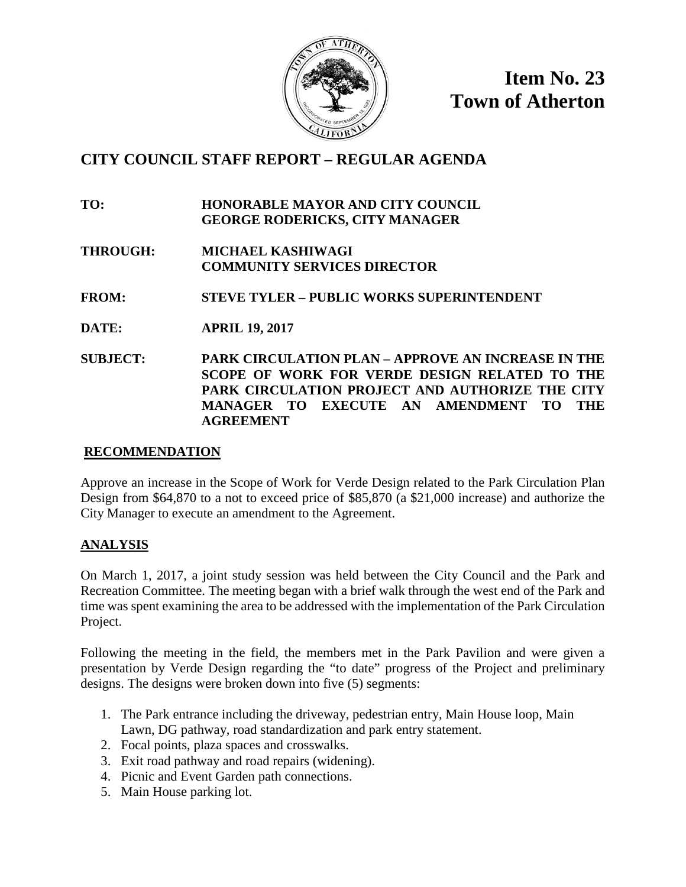

**Item No. 23 Town of Atherton**

# **CITY COUNCIL STAFF REPORT – REGULAR AGENDA**

**TO: HONORABLE MAYOR AND CITY COUNCIL GEORGE RODERICKS, CITY MANAGER**

**THROUGH: MICHAEL KASHIWAGI COMMUNITY SERVICES DIRECTOR**

**FROM: STEVE TYLER – PUBLIC WORKS SUPERINTENDENT**

- **DATE: APRIL 19, 2017**
- **SUBJECT: PARK CIRCULATION PLAN – APPROVE AN INCREASE IN THE SCOPE OF WORK FOR VERDE DESIGN RELATED TO THE PARK CIRCULATION PROJECT AND AUTHORIZE THE CITY MANAGER TO EXECUTE AN AMENDMENT TO THE AGREEMENT**

## **RECOMMENDATION**

Approve an increase in the Scope of Work for Verde Design related to the Park Circulation Plan Design from \$64,870 to a not to exceed price of \$85,870 (a \$21,000 increase) and authorize the City Manager to execute an amendment to the Agreement.

## **ANALYSIS**

On March 1, 2017, a joint study session was held between the City Council and the Park and Recreation Committee. The meeting began with a brief walk through the west end of the Park and time was spent examining the area to be addressed with the implementation of the Park Circulation Project.

Following the meeting in the field, the members met in the Park Pavilion and were given a presentation by Verde Design regarding the "to date" progress of the Project and preliminary designs. The designs were broken down into five (5) segments:

- 1. The Park entrance including the driveway, pedestrian entry, Main House loop, Main Lawn, DG pathway, road standardization and park entry statement.
- 2. Focal points, plaza spaces and crosswalks.
- 3. Exit road pathway and road repairs (widening).
- 4. Picnic and Event Garden path connections.
- 5. Main House parking lot.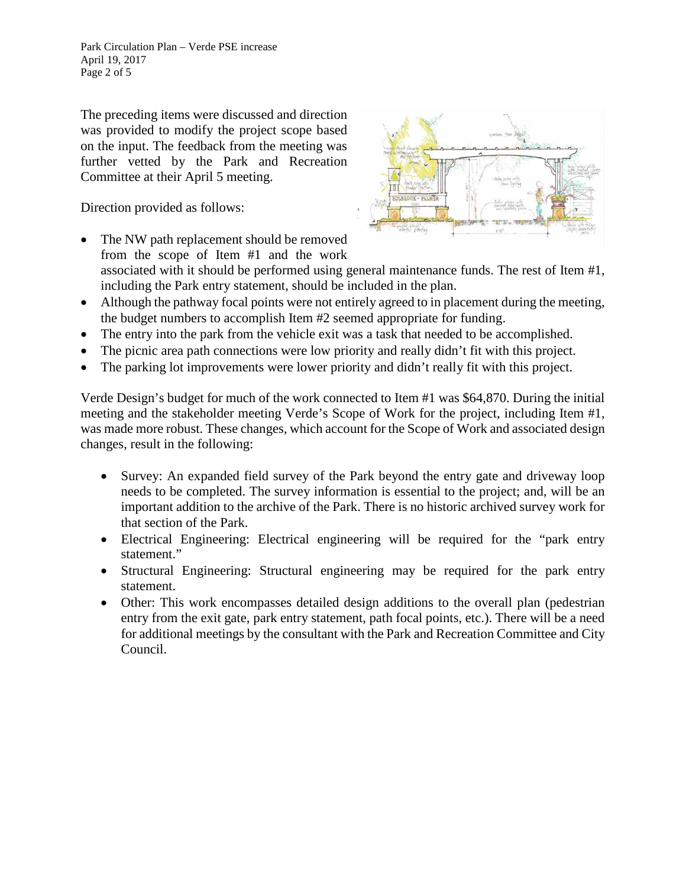Park Circulation Plan – Verde PSE increase April 19, 2017 Page 2 of 5

The preceding items were discussed and direction was provided to modify the project scope based on the input. The feedback from the meeting was further vetted by the Park and Recreation Committee at their April 5 meeting.

Direction provided as follows:

The NW path replacement should be removed from the scope of Item #1 and the work



- associated with it should be performed using general maintenance funds. The rest of Item #1, including the Park entry statement, should be included in the plan.
- Although the pathway focal points were not entirely agreed to in placement during the meeting, the budget numbers to accomplish Item #2 seemed appropriate for funding.
- The entry into the park from the vehicle exit was a task that needed to be accomplished.
- The picnic area path connections were low priority and really didn't fit with this project.
- The parking lot improvements were lower priority and didn't really fit with this project.

Verde Design's budget for much of the work connected to Item #1 was \$64,870. During the initial meeting and the stakeholder meeting Verde's Scope of Work for the project, including Item #1, was made more robust. These changes, which account for the Scope of Work and associated design changes, result in the following:

- Survey: An expanded field survey of the Park beyond the entry gate and driveway loop needs to be completed. The survey information is essential to the project; and, will be an important addition to the archive of the Park. There is no historic archived survey work for that section of the Park.
- Electrical Engineering: Electrical engineering will be required for the "park entry statement."
- Structural Engineering: Structural engineering may be required for the park entry statement.
- Other: This work encompasses detailed design additions to the overall plan (pedestrian entry from the exit gate, park entry statement, path focal points, etc.). There will be a need for additional meetings by the consultant with the Park and Recreation Committee and City Council.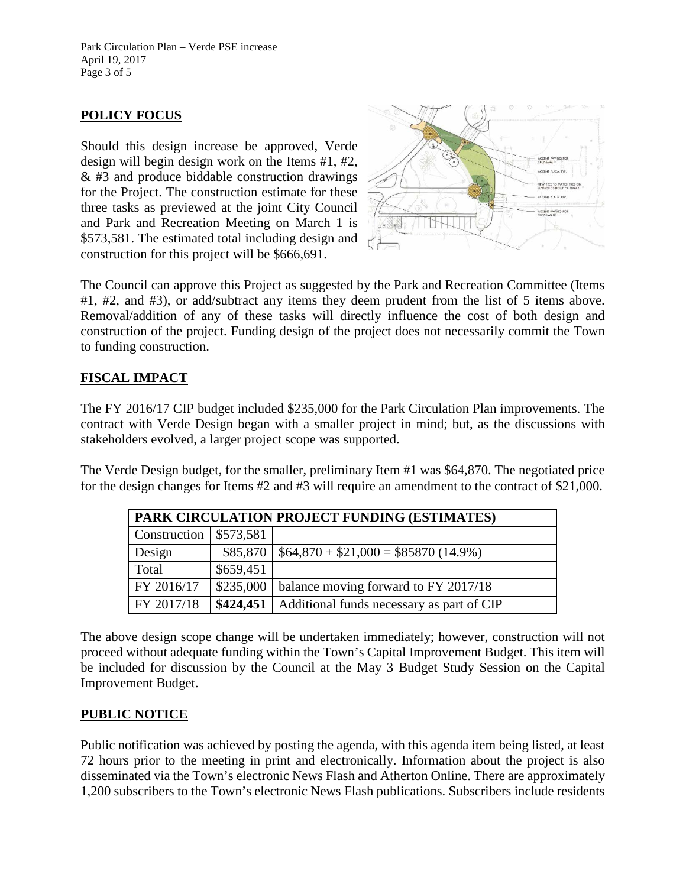Park Circulation Plan – Verde PSE increase April 19, 2017 Page 3 of 5

## **POLICY FOCUS**

Should this design increase be approved, Verde design will begin design work on the Items #1, #2, & #3 and produce biddable construction drawings for the Project. The construction estimate for these three tasks as previewed at the joint City Council and Park and Recreation Meeting on March 1 is \$573,581. The estimated total including design and construction for this project will be \$666,691.



The Council can approve this Project as suggested by the Park and Recreation Committee (Items #1, #2, and #3), or add/subtract any items they deem prudent from the list of 5 items above. Removal/addition of any of these tasks will directly influence the cost of both design and construction of the project. Funding design of the project does not necessarily commit the Town to funding construction.

## **FISCAL IMPACT**

The FY 2016/17 CIP budget included \$235,000 for the Park Circulation Plan improvements. The contract with Verde Design began with a smaller project in mind; but, as the discussions with stakeholders evolved, a larger project scope was supported.

The Verde Design budget, for the smaller, preliminary Item #1 was \$64,870. The negotiated price for the design changes for Items #2 and #3 will require an amendment to the contract of \$21,000.

| <b>PARK CIRCULATION PROJECT FUNDING (ESTIMATES)</b> |           |                                                       |
|-----------------------------------------------------|-----------|-------------------------------------------------------|
| Construction   $$573,581$                           |           |                                                       |
| Design                                              | \$85,870  | $$64,870 + $21,000 = $85870 (14.9\%)$                 |
| Total                                               | \$659,451 |                                                       |
| FY 2016/17                                          | \$235,000 | balance moving forward to FY 2017/18                  |
| FY 2017/18                                          |           | \$424,451   Additional funds necessary as part of CIP |

The above design scope change will be undertaken immediately; however, construction will not proceed without adequate funding within the Town's Capital Improvement Budget. This item will be included for discussion by the Council at the May 3 Budget Study Session on the Capital Improvement Budget.

## **PUBLIC NOTICE**

Public notification was achieved by posting the agenda, with this agenda item being listed, at least 72 hours prior to the meeting in print and electronically. Information about the project is also disseminated via the Town's electronic News Flash and Atherton Online. There are approximately 1,200 subscribers to the Town's electronic News Flash publications. Subscribers include residents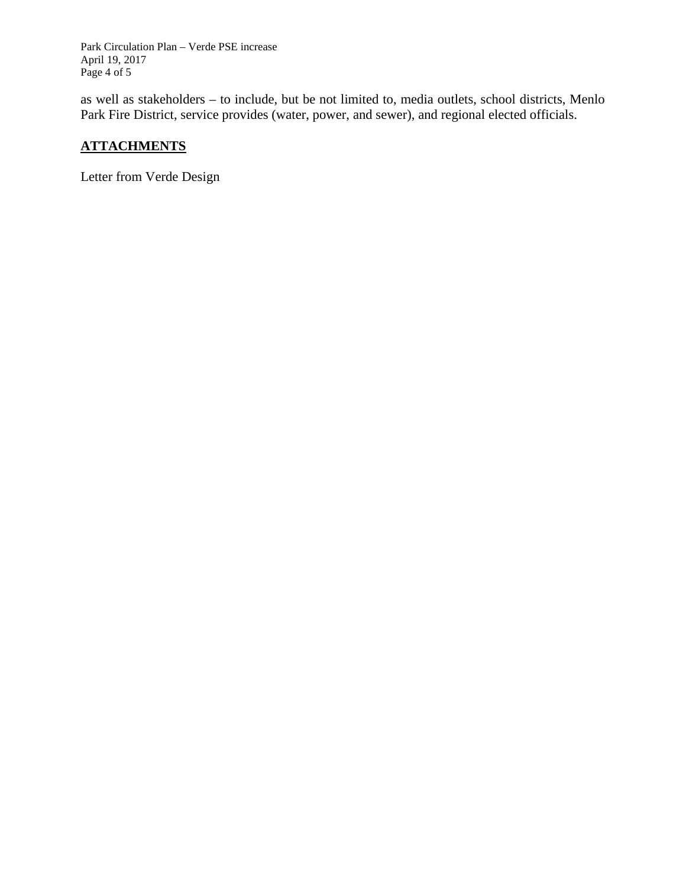Park Circulation Plan – Verde PSE increase April 19, 2017 Page 4 of 5

as well as stakeholders – to include, but be not limited to, media outlets, school districts, Menlo Park Fire District, service provides (water, power, and sewer), and regional elected officials.

## **ATTACHMENTS**

Letter from Verde Design